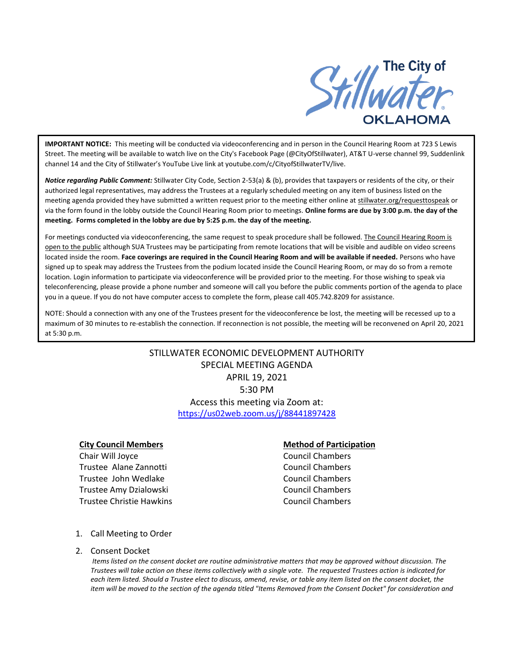

**IMPORTANT NOTICE:** This meeting will be conducted via videoconferencing and in person in the Council Hearing Room at 723 S Lewis Street. The meeting will be available to watch live on the City's Facebook Page (@CityOfStillwater), AT&T U-verse channel 99, Suddenlink channel 14 and the City of Stillwater's YouTube Live link at youtube.com/c/CityofStillwaterTV/live.

*Notice regarding Public Comment:* Stillwater City Code, Section 2-53(a) & (b), provides that taxpayers or residents of the city, or their authorized legal representatives, may address the Trustees at a regularly scheduled meeting on any item of business listed on the meeting agenda provided they have submitted a written request prior to the meeting either online at stillwater.org/requesttospeak or via the form found in the lobby outside the Council Hearing Room prior to meetings. **Online forms are due by 3:00 p.m. the day of the meeting. Forms completed in the lobby are due by 5:25 p.m. the day of the meeting.**

For meetings conducted via videoconferencing, the same request to speak procedure shall be followed. The Council Hearing Room is open to the public although SUA Trustees may be participating from remote locations that will be visible and audible on video screens located inside the room. **Face coverings are required in the Council Hearing Room and will be available if needed.** Persons who have signed up to speak may address the Trustees from the podium located inside the Council Hearing Room, or may do so from a remote location. Login information to participate via videoconference will be provided prior to the meeting. For those wishing to speak via teleconferencing, please provide a phone number and someone will call you before the public comments portion of the agenda to place you in a queue. If you do not have computer access to complete the form, please call 405.742.8209 for assistance.

NOTE: Should a connection with any one of the Trustees present for the videoconference be lost, the meeting will be recessed up to a maximum of 30 minutes to re-establish the connection. If reconnection is not possible, the meeting will be reconvened on April 20, 2021 at 5:30 p.m.

# STILLWATER ECONOMIC DEVELOPMENT AUTHORITY SPECIAL MEETING AGENDA APRIL 19, 2021 5:30 PM Access this meeting via Zoom at: <https://us02web.zoom.us/j/88441897428>

Chair Will Joyce **Council Chambers** Trustee Alane Zannotti Council Chambers Trustee John Wedlake Council Chambers Trustee Amy Dzialowski Trustee Christie Hawkins

# **City Council Members Method of Participation**

Council Chambers Council Chambers

- 1. Call Meeting to Order
- 2. Consent Docket

*Items listed on the consent docket are routine administrative matters that may be approved without discussion. The Trustees will take action on these items collectively with a single vote. The requested Trustees action is indicated for each item listed. Should a Trustee elect to discuss, amend, revise, or table any item listed on the consent docket, the item will be moved to the section of the agenda titled "Items Removed from the Consent Docket" for consideration and*